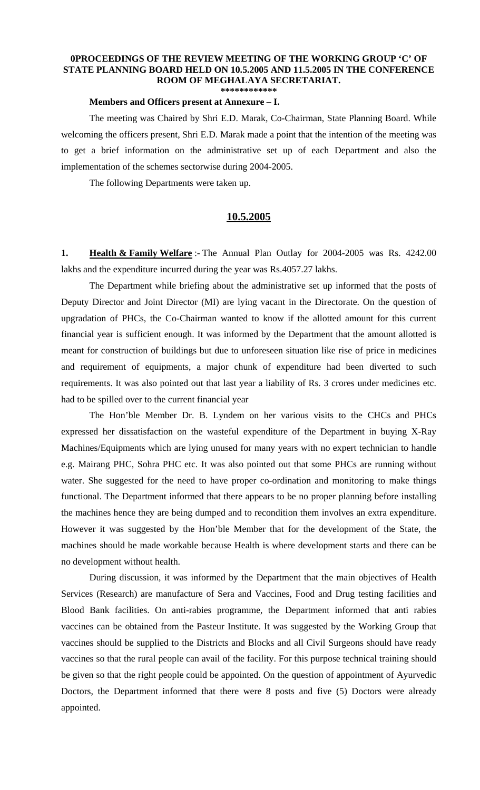## **0PROCEEDINGS OF THE REVIEW MEETING OF THE WORKING GROUP 'C' OF STATE PLANNING BOARD HELD ON 10.5.2005 AND 11.5.2005 IN THE CONFERENCE ROOM OF MEGHALAYA SECRETARIAT. \*\*\*\*\*\*\*\*\*\*\*\***

## **Members and Officers present at Annexure – I.**

 The meeting was Chaired by Shri E.D. Marak, Co-Chairman, State Planning Board. While welcoming the officers present, Shri E.D. Marak made a point that the intention of the meeting was to get a brief information on the administrative set up of each Department and also the implementation of the schemes sectorwise during 2004-2005.

The following Departments were taken up.

## **10.5.2005**

**1. Health & Family Welfare** :- The Annual Plan Outlay for 2004-2005 was Rs. 4242.00 lakhs and the expenditure incurred during the year was Rs.4057.27 lakhs.

 The Department while briefing about the administrative set up informed that the posts of Deputy Director and Joint Director (MI) are lying vacant in the Directorate. On the question of upgradation of PHCs, the Co-Chairman wanted to know if the allotted amount for this current financial year is sufficient enough. It was informed by the Department that the amount allotted is meant for construction of buildings but due to unforeseen situation like rise of price in medicines and requirement of equipments, a major chunk of expenditure had been diverted to such requirements. It was also pointed out that last year a liability of Rs. 3 crores under medicines etc. had to be spilled over to the current financial year

 The Hon'ble Member Dr. B. Lyndem on her various visits to the CHCs and PHCs expressed her dissatisfaction on the wasteful expenditure of the Department in buying X-Ray Machines/Equipments which are lying unused for many years with no expert technician to handle e.g. Mairang PHC, Sohra PHC etc. It was also pointed out that some PHCs are running without water. She suggested for the need to have proper co-ordination and monitoring to make things functional. The Department informed that there appears to be no proper planning before installing the machines hence they are being dumped and to recondition them involves an extra expenditure. However it was suggested by the Hon'ble Member that for the development of the State, the machines should be made workable because Health is where development starts and there can be no development without health.

During discussion, it was informed by the Department that the main objectives of Health Services (Research) are manufacture of Sera and Vaccines, Food and Drug testing facilities and Blood Bank facilities. On anti-rabies programme, the Department informed that anti rabies vaccines can be obtained from the Pasteur Institute. It was suggested by the Working Group that vaccines should be supplied to the Districts and Blocks and all Civil Surgeons should have ready vaccines so that the rural people can avail of the facility. For this purpose technical training should be given so that the right people could be appointed. On the question of appointment of Ayurvedic Doctors, the Department informed that there were 8 posts and five (5) Doctors were already appointed.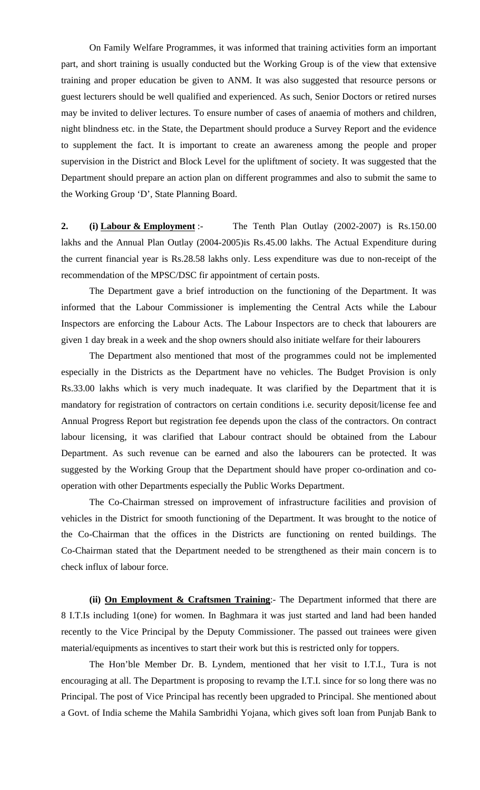On Family Welfare Programmes, it was informed that training activities form an important part, and short training is usually conducted but the Working Group is of the view that extensive training and proper education be given to ANM. It was also suggested that resource persons or guest lecturers should be well qualified and experienced. As such, Senior Doctors or retired nurses may be invited to deliver lectures. To ensure number of cases of anaemia of mothers and children, night blindness etc. in the State, the Department should produce a Survey Report and the evidence to supplement the fact. It is important to create an awareness among the people and proper supervision in the District and Block Level for the upliftment of society. It was suggested that the Department should prepare an action plan on different programmes and also to submit the same to the Working Group 'D', State Planning Board.

**2. (i) Labour & Employment** :- The Tenth Plan Outlay (2002-2007) is Rs.150.00 lakhs and the Annual Plan Outlay (2004-2005)is Rs.45.00 lakhs. The Actual Expenditure during the current financial year is Rs.28.58 lakhs only. Less expenditure was due to non-receipt of the recommendation of the MPSC/DSC fir appointment of certain posts.

 The Department gave a brief introduction on the functioning of the Department. It was informed that the Labour Commissioner is implementing the Central Acts while the Labour Inspectors are enforcing the Labour Acts. The Labour Inspectors are to check that labourers are given 1 day break in a week and the shop owners should also initiate welfare for their labourers

The Department also mentioned that most of the programmes could not be implemented especially in the Districts as the Department have no vehicles. The Budget Provision is only Rs.33.00 lakhs which is very much inadequate. It was clarified by the Department that it is mandatory for registration of contractors on certain conditions i.e. security deposit/license fee and Annual Progress Report but registration fee depends upon the class of the contractors. On contract labour licensing, it was clarified that Labour contract should be obtained from the Labour Department. As such revenue can be earned and also the labourers can be protected. It was suggested by the Working Group that the Department should have proper co-ordination and cooperation with other Departments especially the Public Works Department.

 The Co-Chairman stressed on improvement of infrastructure facilities and provision of vehicles in the District for smooth functioning of the Department. It was brought to the notice of the Co-Chairman that the offices in the Districts are functioning on rented buildings. The Co-Chairman stated that the Department needed to be strengthened as their main concern is to check influx of labour force.

**(ii) On Employment & Craftsmen Training**:- The Department informed that there are 8 I.T.Is including 1(one) for women. In Baghmara it was just started and land had been handed recently to the Vice Principal by the Deputy Commissioner. The passed out trainees were given material/equipments as incentives to start their work but this is restricted only for toppers.

 The Hon'ble Member Dr. B. Lyndem, mentioned that her visit to I.T.I., Tura is not encouraging at all. The Department is proposing to revamp the I.T.I. since for so long there was no Principal. The post of Vice Principal has recently been upgraded to Principal. She mentioned about a Govt. of India scheme the Mahila Sambridhi Yojana, which gives soft loan from Punjab Bank to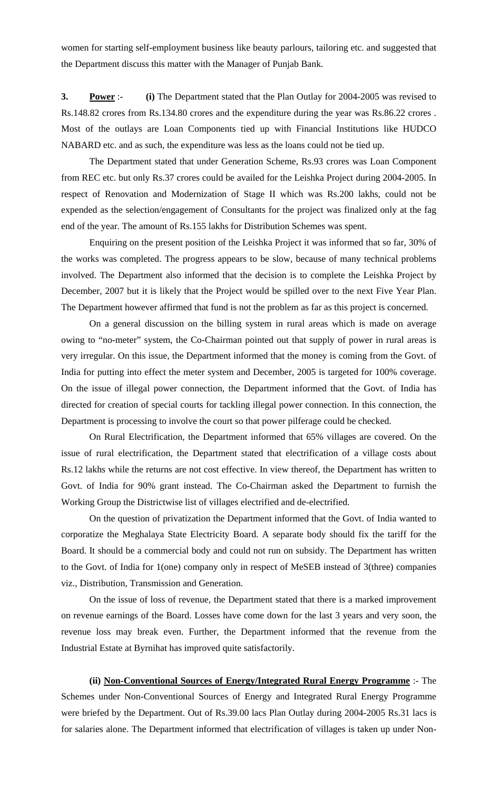women for starting self-employment business like beauty parlours, tailoring etc. and suggested that the Department discuss this matter with the Manager of Punjab Bank.

**3. Power** :- **(i)** The Department stated that the Plan Outlay for 2004-2005 was revised to Rs.148.82 crores from Rs.134.80 crores and the expenditure during the year was Rs.86.22 crores . Most of the outlays are Loan Components tied up with Financial Institutions like HUDCO NABARD etc. and as such, the expenditure was less as the loans could not be tied up.

 The Department stated that under Generation Scheme, Rs.93 crores was Loan Component from REC etc. but only Rs.37 crores could be availed for the Leishka Project during 2004-2005. In respect of Renovation and Modernization of Stage II which was Rs.200 lakhs, could not be expended as the selection/engagement of Consultants for the project was finalized only at the fag end of the year. The amount of Rs.155 lakhs for Distribution Schemes was spent.

 Enquiring on the present position of the Leishka Project it was informed that so far, 30% of the works was completed. The progress appears to be slow, because of many technical problems involved. The Department also informed that the decision is to complete the Leishka Project by December, 2007 but it is likely that the Project would be spilled over to the next Five Year Plan. The Department however affirmed that fund is not the problem as far as this project is concerned.

 On a general discussion on the billing system in rural areas which is made on average owing to "no-meter" system, the Co-Chairman pointed out that supply of power in rural areas is very irregular. On this issue, the Department informed that the money is coming from the Govt. of India for putting into effect the meter system and December, 2005 is targeted for 100% coverage. On the issue of illegal power connection, the Department informed that the Govt. of India has directed for creation of special courts for tackling illegal power connection. In this connection, the Department is processing to involve the court so that power pilferage could be checked.

 On Rural Electrification, the Department informed that 65% villages are covered. On the issue of rural electrification, the Department stated that electrification of a village costs about Rs.12 lakhs while the returns are not cost effective. In view thereof, the Department has written to Govt. of India for 90% grant instead. The Co-Chairman asked the Department to furnish the Working Group the Districtwise list of villages electrified and de-electrified.

 On the question of privatization the Department informed that the Govt. of India wanted to corporatize the Meghalaya State Electricity Board. A separate body should fix the tariff for the Board. It should be a commercial body and could not run on subsidy. The Department has written to the Govt. of India for 1(one) company only in respect of MeSEB instead of 3(three) companies viz., Distribution, Transmission and Generation.

 On the issue of loss of revenue, the Department stated that there is a marked improvement on revenue earnings of the Board. Losses have come down for the last 3 years and very soon, the revenue loss may break even. Further, the Department informed that the revenue from the Industrial Estate at Byrnihat has improved quite satisfactorily.

**(ii) Non-Conventional Sources of Energy/Integrated Rural Energy Programme** :- The Schemes under Non-Conventional Sources of Energy and Integrated Rural Energy Programme were briefed by the Department. Out of Rs.39.00 lacs Plan Outlay during 2004-2005 Rs.31 lacs is for salaries alone. The Department informed that electrification of villages is taken up under Non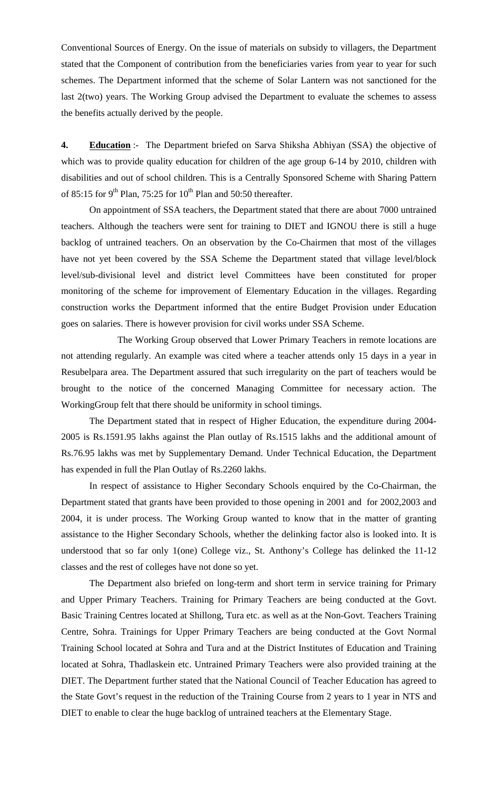Conventional Sources of Energy. On the issue of materials on subsidy to villagers, the Department stated that the Component of contribution from the beneficiaries varies from year to year for such schemes. The Department informed that the scheme of Solar Lantern was not sanctioned for the last 2(two) years. The Working Group advised the Department to evaluate the schemes to assess the benefits actually derived by the people.

**4. Education** :- The Department briefed on Sarva Shiksha Abhiyan (SSA) the objective of which was to provide quality education for children of the age group 6-14 by 2010, children with disabilities and out of school children. This is a Centrally Sponsored Scheme with Sharing Pattern of 85:15 for 9<sup>th</sup> Plan, 75:25 for 10<sup>th</sup> Plan and 50:50 thereafter.

 On appointment of SSA teachers, the Department stated that there are about 7000 untrained teachers. Although the teachers were sent for training to DIET and IGNOU there is still a huge backlog of untrained teachers. On an observation by the Co-Chairmen that most of the villages have not yet been covered by the SSA Scheme the Department stated that village level/block level/sub-divisional level and district level Committees have been constituted for proper monitoring of the scheme for improvement of Elementary Education in the villages. Regarding construction works the Department informed that the entire Budget Provision under Education goes on salaries. There is however provision for civil works under SSA Scheme.

 The Working Group observed that Lower Primary Teachers in remote locations are not attending regularly. An example was cited where a teacher attends only 15 days in a year in Resubelpara area. The Department assured that such irregularity on the part of teachers would be brought to the notice of the concerned Managing Committee for necessary action. The WorkingGroup felt that there should be uniformity in school timings.

The Department stated that in respect of Higher Education, the expenditure during 2004- 2005 is Rs.1591.95 lakhs against the Plan outlay of Rs.1515 lakhs and the additional amount of Rs.76.95 lakhs was met by Supplementary Demand. Under Technical Education, the Department has expended in full the Plan Outlay of Rs.2260 lakhs.

 In respect of assistance to Higher Secondary Schools enquired by the Co-Chairman, the Department stated that grants have been provided to those opening in 2001 and for 2002,2003 and 2004, it is under process. The Working Group wanted to know that in the matter of granting assistance to the Higher Secondary Schools, whether the delinking factor also is looked into. It is understood that so far only 1(one) College viz., St. Anthony's College has delinked the 11-12 classes and the rest of colleges have not done so yet.

 The Department also briefed on long-term and short term in service training for Primary and Upper Primary Teachers. Training for Primary Teachers are being conducted at the Govt. Basic Training Centres located at Shillong, Tura etc. as well as at the Non-Govt. Teachers Training Centre, Sohra. Trainings for Upper Primary Teachers are being conducted at the Govt Normal Training School located at Sohra and Tura and at the District Institutes of Education and Training located at Sohra, Thadlaskein etc. Untrained Primary Teachers were also provided training at the DIET. The Department further stated that the National Council of Teacher Education has agreed to the State Govt's request in the reduction of the Training Course from 2 years to 1 year in NTS and DIET to enable to clear the huge backlog of untrained teachers at the Elementary Stage.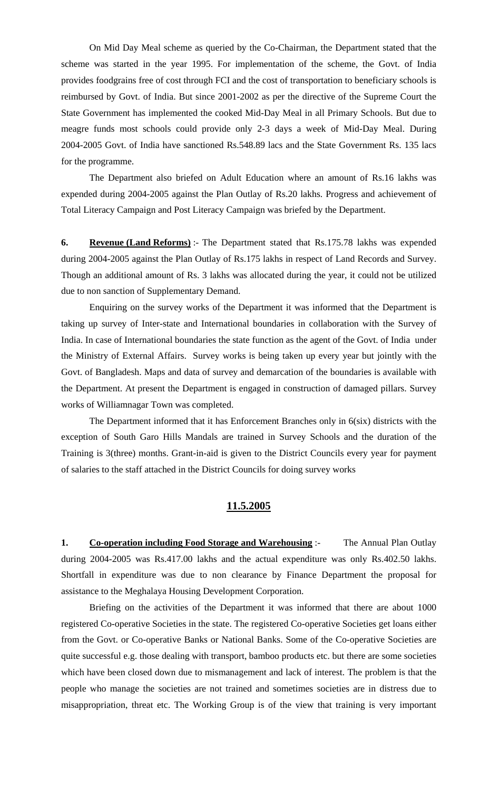On Mid Day Meal scheme as queried by the Co-Chairman, the Department stated that the scheme was started in the year 1995. For implementation of the scheme, the Govt. of India provides foodgrains free of cost through FCI and the cost of transportation to beneficiary schools is reimbursed by Govt. of India. But since 2001-2002 as per the directive of the Supreme Court the State Government has implemented the cooked Mid-Day Meal in all Primary Schools. But due to meagre funds most schools could provide only 2-3 days a week of Mid-Day Meal. During 2004-2005 Govt. of India have sanctioned Rs.548.89 lacs and the State Government Rs. 135 lacs for the programme.

 The Department also briefed on Adult Education where an amount of Rs.16 lakhs was expended during 2004-2005 against the Plan Outlay of Rs.20 lakhs. Progress and achievement of Total Literacy Campaign and Post Literacy Campaign was briefed by the Department.

**6. Revenue (Land Reforms)** :- The Department stated that Rs.175.78 lakhs was expended during 2004-2005 against the Plan Outlay of Rs.175 lakhs in respect of Land Records and Survey. Though an additional amount of Rs. 3 lakhs was allocated during the year, it could not be utilized due to non sanction of Supplementary Demand.

 Enquiring on the survey works of the Department it was informed that the Department is taking up survey of Inter-state and International boundaries in collaboration with the Survey of India. In case of International boundaries the state function as the agent of the Govt. of India under the Ministry of External Affairs. Survey works is being taken up every year but jointly with the Govt. of Bangladesh. Maps and data of survey and demarcation of the boundaries is available with the Department. At present the Department is engaged in construction of damaged pillars. Survey works of Williamnagar Town was completed.

 The Department informed that it has Enforcement Branches only in 6(six) districts with the exception of South Garo Hills Mandals are trained in Survey Schools and the duration of the Training is 3(three) months. Grant-in-aid is given to the District Councils every year for payment of salaries to the staff attached in the District Councils for doing survey works

## **11.5.2005**

**1.** Co-operation including Food Storage and Warehousing :- The Annual Plan Outlay during 2004-2005 was Rs.417.00 lakhs and the actual expenditure was only Rs.402.50 lakhs. Shortfall in expenditure was due to non clearance by Finance Department the proposal for assistance to the Meghalaya Housing Development Corporation.

 Briefing on the activities of the Department it was informed that there are about 1000 registered Co-operative Societies in the state. The registered Co-operative Societies get loans either from the Govt. or Co-operative Banks or National Banks. Some of the Co-operative Societies are quite successful e.g. those dealing with transport, bamboo products etc. but there are some societies which have been closed down due to mismanagement and lack of interest. The problem is that the people who manage the societies are not trained and sometimes societies are in distress due to misappropriation, threat etc. The Working Group is of the view that training is very important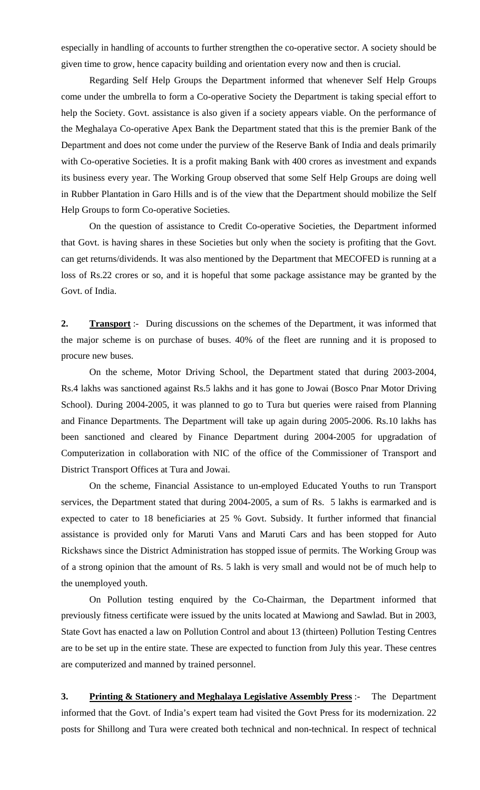especially in handling of accounts to further strengthen the co-operative sector. A society should be given time to grow, hence capacity building and orientation every now and then is crucial.

 Regarding Self Help Groups the Department informed that whenever Self Help Groups come under the umbrella to form a Co-operative Society the Department is taking special effort to help the Society. Govt. assistance is also given if a society appears viable. On the performance of the Meghalaya Co-operative Apex Bank the Department stated that this is the premier Bank of the Department and does not come under the purview of the Reserve Bank of India and deals primarily with Co-operative Societies. It is a profit making Bank with 400 crores as investment and expands its business every year. The Working Group observed that some Self Help Groups are doing well in Rubber Plantation in Garo Hills and is of the view that the Department should mobilize the Self Help Groups to form Co-operative Societies.

 On the question of assistance to Credit Co-operative Societies, the Department informed that Govt. is having shares in these Societies but only when the society is profiting that the Govt. can get returns/dividends. It was also mentioned by the Department that MECOFED is running at a loss of Rs.22 crores or so, and it is hopeful that some package assistance may be granted by the Govt. of India.

**2. Transport** :- During discussions on the schemes of the Department, it was informed that the major scheme is on purchase of buses. 40% of the fleet are running and it is proposed to procure new buses.

On the scheme, Motor Driving School, the Department stated that during 2003-2004, Rs.4 lakhs was sanctioned against Rs.5 lakhs and it has gone to Jowai (Bosco Pnar Motor Driving School). During 2004-2005, it was planned to go to Tura but queries were raised from Planning and Finance Departments. The Department will take up again during 2005-2006. Rs.10 lakhs has been sanctioned and cleared by Finance Department during 2004-2005 for upgradation of Computerization in collaboration with NIC of the office of the Commissioner of Transport and District Transport Offices at Tura and Jowai.

 On the scheme, Financial Assistance to un-employed Educated Youths to run Transport services, the Department stated that during 2004-2005, a sum of Rs. 5 lakhs is earmarked and is expected to cater to 18 beneficiaries at 25 % Govt. Subsidy. It further informed that financial assistance is provided only for Maruti Vans and Maruti Cars and has been stopped for Auto Rickshaws since the District Administration has stopped issue of permits. The Working Group was of a strong opinion that the amount of Rs. 5 lakh is very small and would not be of much help to the unemployed youth.

 On Pollution testing enquired by the Co-Chairman, the Department informed that previously fitness certificate were issued by the units located at Mawiong and Sawlad. But in 2003, State Govt has enacted a law on Pollution Control and about 13 (thirteen) Pollution Testing Centres are to be set up in the entire state. These are expected to function from July this year. These centres are computerized and manned by trained personnel.

**3. Printing & Stationery and Meghalaya Legislative Assembly Press** :- The Department informed that the Govt. of India's expert team had visited the Govt Press for its modernization. 22 posts for Shillong and Tura were created both technical and non-technical. In respect of technical